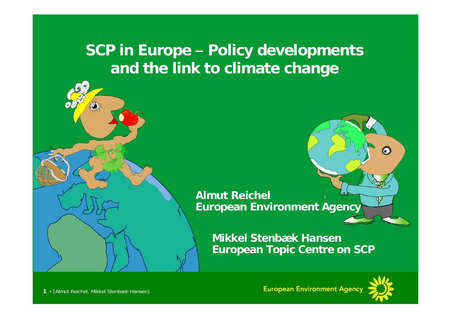### **SCP in Europe – Policy developments and the link to climate change**



**Mikkel Stenbæk HansenEuropean Topic Centre on SCP**



O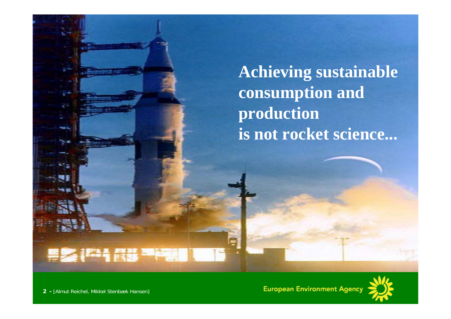**Achieving sustainable consumption and production is not rocket science...** 



Not rocket science...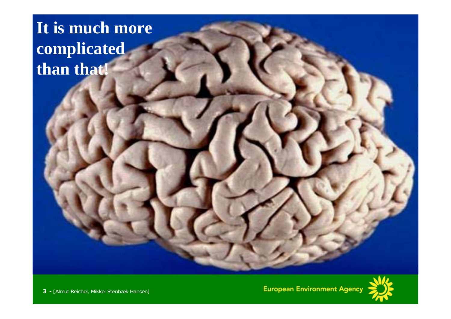# **It is much more complicated than that!**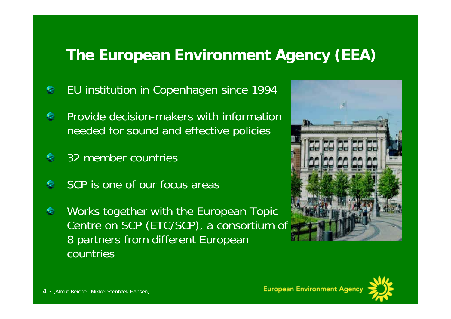# **The European Environment Agency (EEA)**

- EU institution in Copenhagen since 1994
- Provide decision-makers with information needed for sound and effective policies
- 32 member countries
- SCP is one of our focus areas
- Works together with the European Topic € Centre on SCP (ETC/SCP), a consortium of 8 partners from different European countries



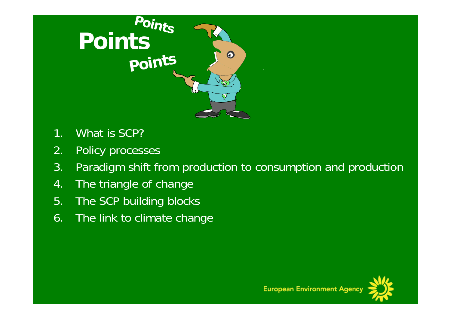

- 1. What is SCP?
- 2. Policy processes
- 3. Paradigm shift from production to consumption and production
- 4. The triangle of change
- 5. The SCP building blocks
- 6. The link to climate change

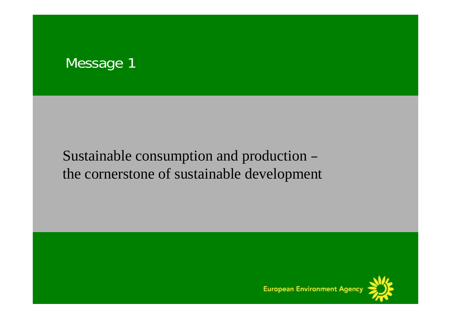

#### Sustainable consumption and production – the cornerstone of sustainable development

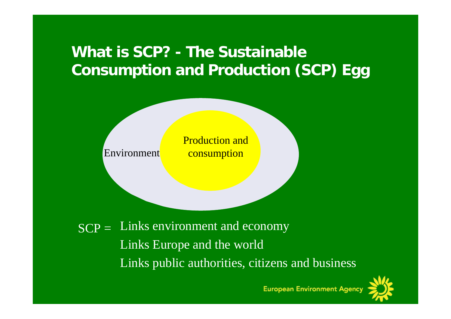# **What is SCP? - The Sustainable Consumption and Production (SCP) Egg**



 $SCP =$  Links environment and economy Links Europe and the world Links public authorities, citizens and business

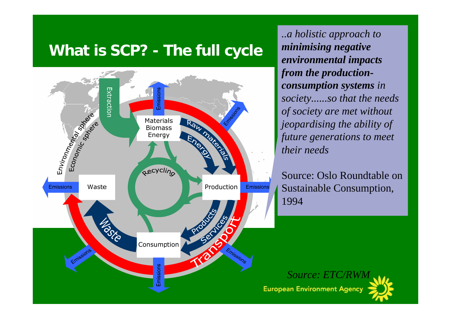# **What is SCP? - The full cycle**



*..a holistic approach to minimising negative environmental impacts from the productionconsumption systems in society......so that the needs of society are met without jeopardising the ability of future generations to meet their needs*

Source: Oslo Roundtable on Sustainable Consumption, 1994

*Source: ETC/RWM* **European Environment Agency**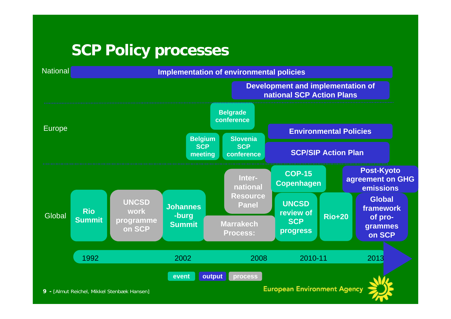## **SCP Policy processes**



**9 -** [Almut Reichel, Mikkel Stenbæk Hansen]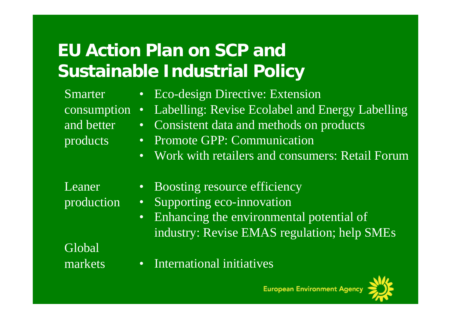# **EU Action Plan on SCP and Sustainable Industrial Policy**

- **Smarter** consumption • and better products • Eco-design Directive: Extension Labelling: Revise Ecolabel and Energy Labelling • Consistent data and methods on products • Promote GPP: Communication
	- Work with retailers and consumers: Retail Forum

| Leaner     |  |
|------------|--|
| production |  |

- Boosting resource efficiency
- Supporting eco-innovation
- Enhancing the environmental potential of industry: Revise EMAS regulation; help SMEs

Global markets

• International initiatives

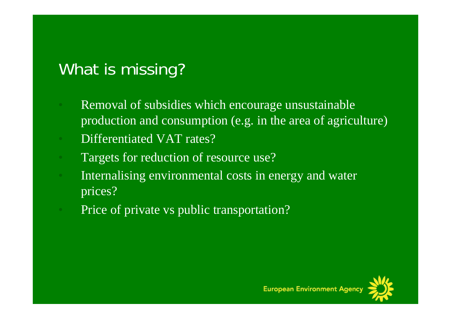# What is missing?

- Removal of subsidies which encourage unsustainable production and consumption (e.g. in the area of agriculture)
- Differentiated VAT rates?
- Targets for reduction of resource use?
- Internalising environmental costs in energy and water prices?
- Price of private vs public transportation?

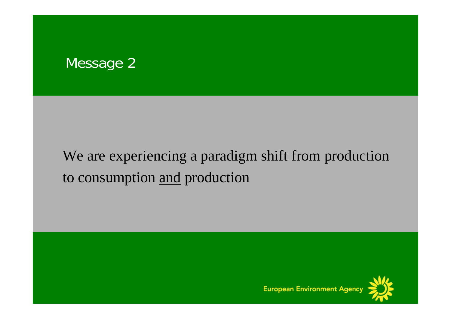#### Message 2

# We are experiencing a paradigm shift from production to consumption and production

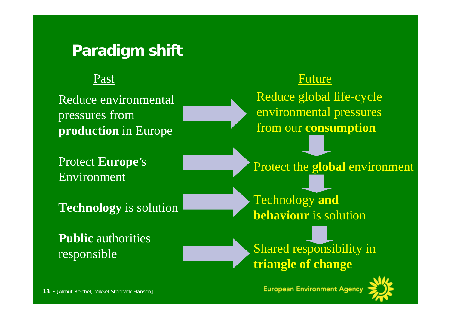#### **Paradigm shift**

#### Past

Reduce environmental pressures from **production** in Europe

Protect **Europe**'<sup>s</sup> Environment

**Technology** is solution

**Public** authorities responsible

#### $t$  is a set of the set of the set of the set of the  $\mathbf F$ uture

Reduce global life-cycle environmental pressures from our **consumption**

Protect the **global** environment

Technology **and behaviour** is solution

Shared responsibility in **triangle of change**

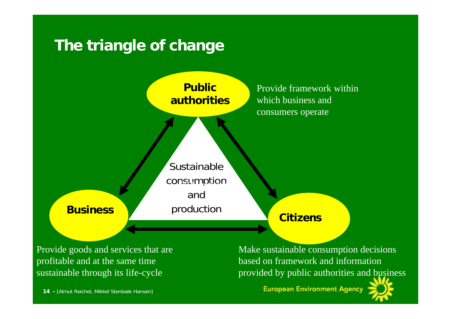# **The triangle of change**



Provide goods and services that are profitable and at the same time sustainable through its life-cycle

**14 -** [Almut Reichel, Mikkel Stenbæk Hansen]

Make sustainable consumption decisions based on framework and information provided by public authorities and business

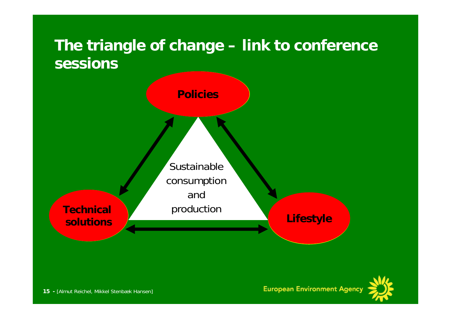# **The triangle of change – link to conference sessions**



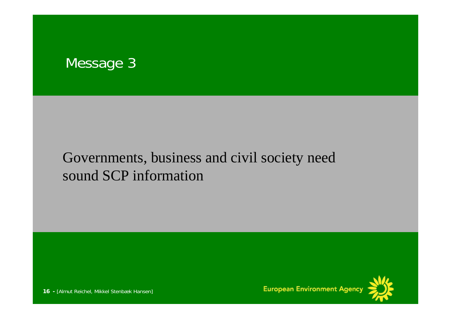

#### Governments, business and civil society need sound SCP information



**16 -** [Almut Reichel, Mikkel Stenbæk Hansen]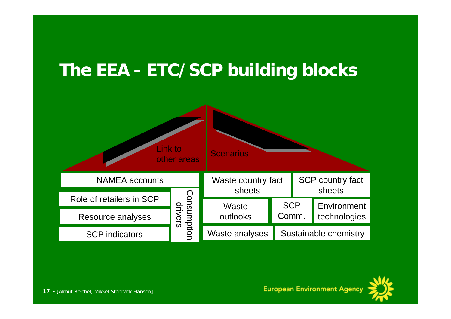# **The EEA - ETC/SCP building blocks**



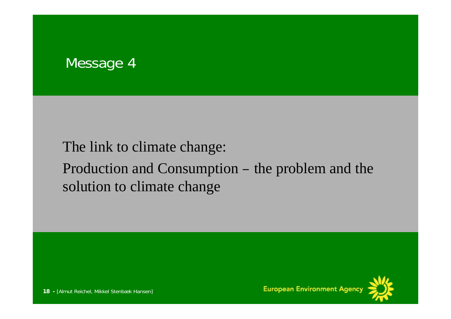#### Message 4

#### The link to climate change:

#### Production and Consumption – the problem and the solution to climate change

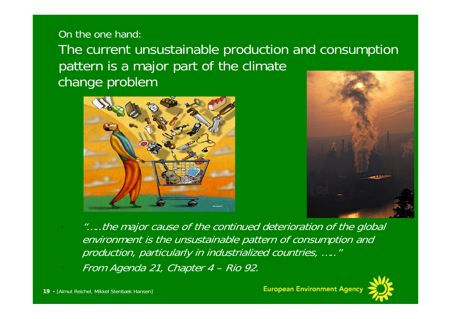#### On the one hand:

The current unsustainable production and consumption pattern is a major part of the climate change problem





• "…..the major cause of the continued deterioration of the global environment is the unsustainable pattern of consumption and production, particularly in industrialized countries, ….."

• From Agenda 21, Chapter 4 – Rio 92.

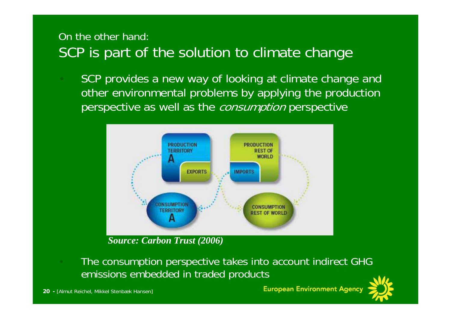#### On the other hand: SCP is part of the solution to climate change

SCP provides a new way of looking at climate change and other environmental problems by applying the production perspective as well as the *consumption* perspective



*Source: Carbon Trust (2006)*

• The consumption perspective takes into account indirect GHG emissions embedded in traded products

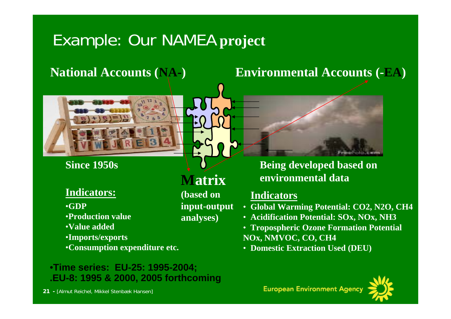# Example: Our NAMEA **project**



#### **Since 1950s**

#### **Indicators:**

•**GDP** 

- •**Production value**
- •**Value added**
- •**Imports/exports**
- •**Consumption expenditure etc.**

#### •**Time series: EU-25: 1995-2004; .EU-8: 1995 & 2000, 2005 forthcoming**

**(based on input-output analyses)**

**National Accounts (NA-) Environmental Accounts (-EA)**



 **Being developed based on Matrix environmental data**

#### **Indicators**

- **Global Warming Potential: CO2, N2O, CH4**
- **Acidification Potential: SOx, NOx, NH3**
- **Tropospheric Ozone Formation Potential NOx, NMVOC, CO, CH4**
- **Domestic Extraction Used (DEU)**

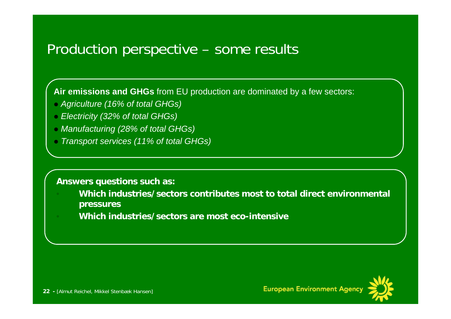#### Production perspective – some results

**Air emissions and GHGs** from EU production are dominated by a few sectors:

- *Agriculture (16% of total GHGs)*
- *Electricity (32% of total GHGs)*
- *Manufacturing (28% of total GHGs)*
- *Transport services (11% of total GHGs)*

#### **Answers questions such as:**

- **Which industries/sectors contributes most to total direct environmental pressures**
- **Which industries/sectors are most eco-intensive**

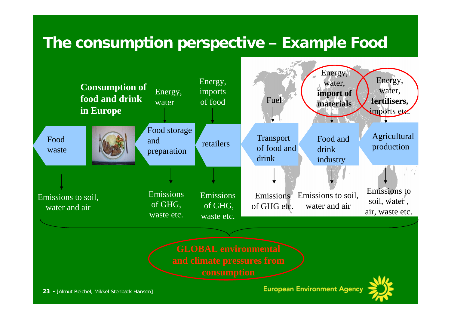#### **The consumption perspective – Example Food**

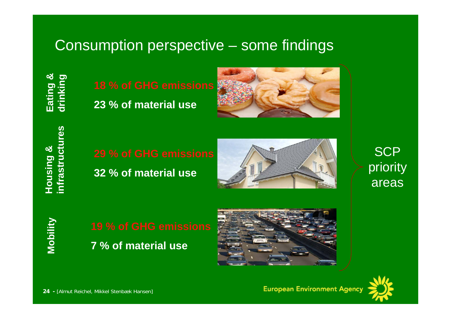#### Consumption perspective – some findings



**23 % of material use**



**32 % of material use**

![](_page_23_Picture_5.jpeg)

**SCP** priority areas

**Mobility**

![](_page_23_Picture_8.jpeg)

![](_page_23_Picture_9.jpeg)

![](_page_23_Picture_10.jpeg)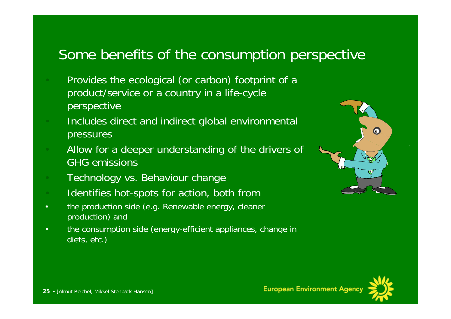#### Some benefits of the consumption perspective

- Provides the ecological (or carbon) footprint of a product/service or a country in a life-cycle **perspective**
- Includes direct and indirect global environmental pressures
- Allow for a deeper understanding of the drivers of GHG emissions
- Technology vs. Behaviour change
- Identifies hot-spots for action, both from
- the production side (e.g. Renewable energy, cleaner production) and
- the consumption side (energy-efficient appliances, change in diets, etc.)

![](_page_24_Picture_8.jpeg)

![](_page_24_Picture_9.jpeg)

**European Environment**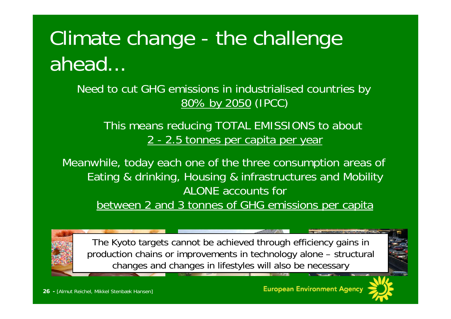# Climate change - the challenge ahead...

Need to cut GHG emissions in industrialised countries by 80% by 2050 (IPCC)

This means reducing TOTAL EMISSIONS to about 2 - 2.5 tonnes per capita per year

Meanwhile, today each one of the three consumption areas of Eating & drinking, Housing & infrastructures and Mobility ALONE accounts for between 2 and 3 tonnes of GHG emissions per capita

The Kyoto targets cannot be achieved through efficiency gains in production chains or improvements in technology alone – structural changes and changes in lifestyles will also be necessary